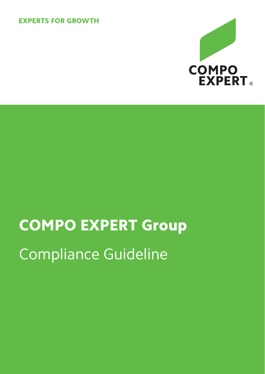# **EXPERTS FOR GROWTH**



# COMPO EXPERT Group Compliance Guideline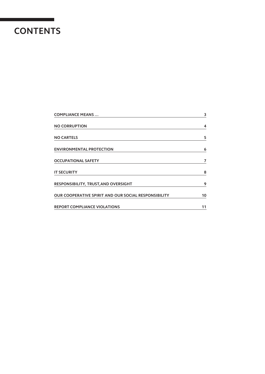# **CONTENTS**

| <b>COMPLIANCE MEANS</b>                                     | 3  |
|-------------------------------------------------------------|----|
| <b>NO CORRUPTION</b>                                        | 4  |
| <b>NO CARTELS</b>                                           | 5  |
| <b>ENVIRONMENTAL PROTECTION</b>                             | 6  |
| <b>OCCUPATIONAL SAFETY</b>                                  | 7  |
| <b>IT SECURITY</b>                                          | 8  |
| <b>RESPONSIBILITY, TRUST, AND OVERSIGHT</b>                 | 9  |
| <b>OUR COOPERATIVE SPIRIT AND OUR SOCIAL RESPONSIBILITY</b> | 10 |
| <b>REPORT COMPLIANCE VIOLATIONS</b>                         | 11 |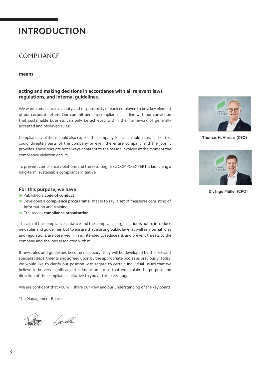# **INTRODUCTION**

# COMPLIANCE

#### **means**

#### **acting and making decisions in accordance with all relevant laws, regulations, and internal guidelines.**

We want compliance as a duty and responsibility of each employee to be a key element of our corporate ethos. Our commitment to compliance is in line with our conviction that sustainable business can only be achieved within the framework of generally accepted and observed rules:

Compliance violations could also expose the company to incalculable risks. These risks could threaten parts of the company or even the entire company and the jobs it provides.These risks are not always apparent to the person involved at the moment the compliance violation occurs.

To prevent compliance violations and the resulting risks, COMPO EXPERT is launching a long-term, sustainable compliance initiative.

#### **For this purpose, we have**

» Published a **code of conduct**

- » Developed a **compliance programme**, that is to say, a set of measures consisting of information and training
- » Createed a **compliance organisation**

The aim of the compliance initiative and the compliance organisation is not to introduce new rules and guidelines, but to ensure that existing public laws, as well as internal rules and regulations, are observed.This is intended to reduce risk and prevent threats to the company and the jobs associated with it.

If new rules and guidelines become necessary, they will be developed by the relevant specialist departments and agreed upon by the appropriate bodies as previously.Today, we would like to clarify our position with regard to certain individual issues that we believe to be very significant. It is important to us that we explain the purpose and direction of the compliance initiative to you at this earlystage.

We are confident that you will share our view and our understanding of the key points.

The Management Board

h go*lfh*i



**Thomas H. Ahrens (CEO)**



**Dr. Ingo Müller (CPO)**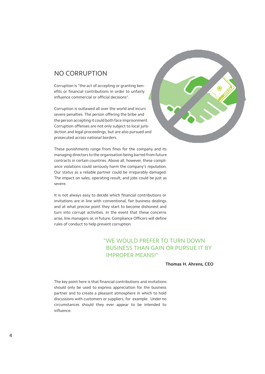## <span id="page-3-0"></span>NO CORRUPTION

Corruption is "the act of accepting or granting benefits or financial contributions in order to unfairly influence commercial or official decisions".

Corruption is outlawed all over the world and incurs severe penalties. The person offering the bribe and the person accepting it could both face imprisonment. Corruption offenses are not only subject to local jurisdiction and legal proceedings, but are also pursued and prosecuted across national borders.



These punishments range from fines for the company and its managing directors to the organisation being barred from future contracts in certain countries. Above all, however, these compliance violations could seriously harm the company's reputation. Our status as a reliable partner could be irreparably damaged. The impact on sales, operating result, and jobs could be just as severe.

It is not always easy to decide which financial contributions or invitations are in line with conventional, fair business dealings and at what precise point they start to become dishonest and turn into corrupt activities. In the event that these concerns arise, line managers or, in future, Compliance Officers will define rules of conduct to help prevent corruption.

#### "WE WOULD PREFER TO TURN DOWN BUSINESS THAN GAIN OR PURSUE IT BY IMPROPER MEANS!"

**Thomas H. Ahrens, CEO**

The key point here is that financial contributions and invitations should only be used to express appreciation for the business partner and to create a pleasant atmosphere in which to hold discussions with customers or suppliers, for example. Under no circumstances should they ever appear to be intended to influence.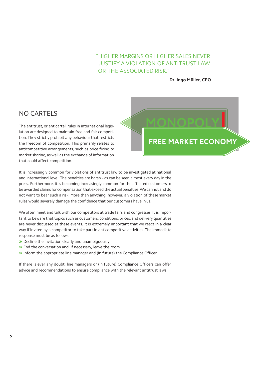#### "HIGHER MARGINS OR HIGHER SALES NEVER JUSTIFY A VIOLATION OF ANTITRUST LAW OR THE ASSOCIATED RISK."

**Dr. Ingo Müller, CPO**

#### <span id="page-4-0"></span>NO CARTELS

The antitrust, or anticartel, rules in international legislation are designed to maintain free and fair competition. They strictly prohibit any behaviour that restricts the freedom of competition. This primarily relates to anticompetitive arrangements, such as price fixing or market sharing, as well as the exchange of information that could affect competition.

It is increasingly common for violations of antitrust law to be investigated at national and international level. The penalties are harsh – as can be seen almost every day in the press. Furthermore, it is becoming increasingly common for the affected customers to be awarded claims for compensation that exceed the actual penalties.We cannot and do not want to bear such a risk. More than anything, however, a violation of thesemarket rules would severely damage the confidence that our customers have inus.

We often meet and talk with our competitors at trade fairs and congresses. It is important to beware that topics such as customers, conditions, prices, and delivery quantities are never discussed at these events. It is extremely important that we react in a clear way if invited by a competitor to take part in anticompetitive activities. The immediate response must be as follows:

- » Decline the invitation clearly and unambiguously
- » End the conversation and, if necessary, leave the room
- » Inform the appropriate line manager and (in future) the Compliance Officer

If there is ever any doubt, line managers or (in future) Compliance Officers can offer advice and recommendations to ensure compliance with the relevant antitrust laws.

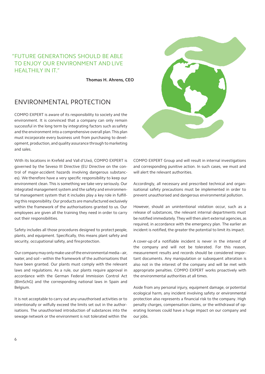#### "FUTURE GENERATIONS SHOULD BE ABLE TO ENJOY OUR ENVIRONMENT AND LIVE HEALTHILY IN IT."

**Thomas H. Ahrens, CEO**

## <span id="page-5-0"></span>ENVIRONMENTAL PROTECTION

COMPO EXPERT is aware of its responsibility to society and the environment. It is convinced that a company can only remain successful in the long term by integrating factors such as safety and the environment into a comprehensive overall plan.This plan must incorporate every business unit from purchasing to development, production, and quality assurance through to marketing and sales.

With its locations in Krefeld and Vall d'Uixó, COMPO EXPERT is governed by the Seveso III Directive (EU Directive on the control of major-accident hazards involving dangerous substances). We therefore have a very specific responsibility to keep our environment clean.This is something we take very seriously. Our integrated management system and the safety and environmental management system that it includes play a key role in fulfilling this responsibility.Our products are manufactured exclusively within the framework of the authorisations granted to us. Our employees are given all the training they need in order to carry out their responsibilities.

Safety includes all those procedures designed to protect people, plants, and equipment. Specifically, this means plant safety and security, occupational safety, and fireprotection.

Our companymayonlymake use of the environmental media–air, water, and soil – within the framework of the authorisations that have been granted. Our plants must comply with the relevant laws and regulations. As a rule, our plants require approval in accordance with the German Federal Immission Control Act (BImSchG) and the corresponding national laws in Spain and Belgium.

It is not acceptable to carry out any unauthorised activities or to intentionally or wilfully exceed the limits set out in the authorisations. The unauthorised introduction of substances into the sewage network or the environment is not tolerated within the



COMPO EXPERT Group and will result in internal investigations and corresponding punitive action. In such cases, we must and will alert the relevant authorities.

Accordingly, all necessary and prescribed technical and organisational safety precautions must be implemented in order to prevent unauthorised and dangerous environmental pollution.

However, should an unintentional violation occur, such as a release of substances, the relevant internal departments must be notified immediately.They will then alert external agencies, as required, in accordance with the emergency plan. The earlier an incident is notified, the greater the potential to limit its impact.

A cover-up of a notifiable incident is never in the interest of the company and will not be tolerated. For this reason, measurement results and records should be considered important documents. Any manipulation or subsequent alteration is also not in the interest of the company and will be met with appropriate penalties. COMPO EXPERT works proactively with the environmental authorities at all times.

Aside from any personal injury, equipment damage, or potential ecological harm, any incident involving safety or environmental protection also represents a financial risk to the company. High penalty charges, compensation claims, or the withdrawal of operating licenses could have a huge impact on our company and our jobs.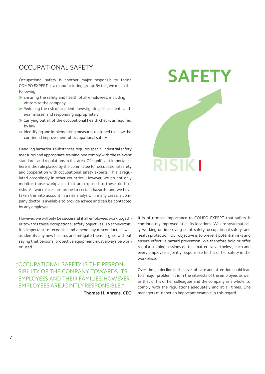# <span id="page-6-0"></span>OCCUPATIONAL SAFETY

Occupational safety is another major responsibility facing COMPO EXPERT as a manufacturing group. By this, we mean the following:

- » Ensuring the safety and health of all employees, including visitors to the company
- » Reducing the risk of accident, investigating all accidents and near misses, and responding appropriately
- » Carrying out all of the occupational health checks as required by law
- » Identifying and implementing measures designed to allow the continued improvement of occupational safety

Handling hazardous substances requires special industrial safety measures and appropriate training.We comply with the relevant standards and regulations in this area. Of significant importance here is the role played by the committee for occupational safety and cooperation with occupational safety experts. This is regulated accordingly in other countries. However, we do not only monitor those workplaces that are exposed to these kinds of risks. All workplaces are prone to certain hazards, and we have taken this into account in a risk analysis. In many cases, a company doctor is available to provide advice and can be contacted by any employee.

However, we will only be successful if all employees work together towards these occupational safety objectives. To achievethis, it is important to recognise and amend any misconduct, as well as identify any new hazards and mitigate them. It goes without saying that personal protective equipment must always be worn or used.

"OCCUPATIONAL SAFETY IS THE RESPON-SIBILITY OF THE COMPANY TOWARDS ITS EMPLOYEES AND THEIR FAMILIES.HOWEVER, EMPLOYEESAREJOINTLYRESPONSIBLE."

**Thomas H. Ahrens, CEO**



It is of utmost importance to COMPO EXPERT that safety is continuously improved at all its locations. We are systematically working on improving plant safety, occupational safety, and health protection. Our objective is to prevent potential risks and ensure effective hazard prevention. We therefore hold or offer regular training sessions on this matter. Nevertheless, each and every employee is jointly responsible for his or her safety in the workplace.

Over time,a decline in the level of care and attention could lead to a major problem. It is in the interests of the employee, as well as that of his or her colleagues and the company as a whole, to comply with the regulations adequately and at all times. Line managers must set an important example in this regard.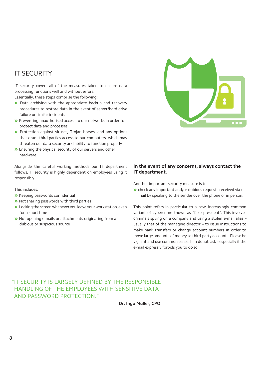# <span id="page-7-0"></span>IT SECURITY

IT security covers all of the measures taken to ensure data processing functions well and without errors.

Essentially, these steps comprise the following:

- » Data archiving with the appropriate backup and recovery procedures to restore data in the event of server/hard drive failure or similar incidents
- » Preventing unauthorised access to our networks in order to protect data and processes
- » Protection against viruses, Trojan horses, and any options that grant third parties access to our computers, which may threaten our data security and ability to function properly
- » Ensuring the physical security of our servers and other hardware

Alongside the careful working methods our IT department follows, IT security is highly dependent on employees using it responsibly.

This includes:

- » Keeping passwords confidential
- » Not sharing passwords with third parties
- » Locking the screen whenever you leave yourworkstation,even for a short time
- » Not opening e-mails or attachments originating from a dubious or suspicious source

# **REA**

#### **In the event of any concerns, always contact the IT department.**

Another important security measure is to

» check any important and/or dubious requests received via email by speaking to the sender over the phone or in person.

This point refers in particular to a new, increasingly common variant of cybercrime known as "fake president". This involves criminals spying on a company and using a stolen e-mail alias – usually that of the managing director – to issue instructions to make bank transfers or change account numbers in order to move large amounts of money to third-party accounts. Please be vigilant and use common sense. If in doubt, ask – especially if the e-mail expressly forbids you to do so!

#### "IT SECURITY IS LARGELY DEFINED BY THE RESPONSIBLE HANDLING OF THE EMPLOYEES WITH SENSITIVE DATA AND PASSWORD PROTECTION."

**Dr. Ingo Müller, CPO**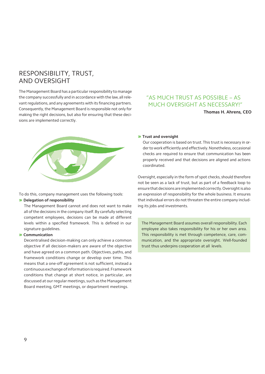## <span id="page-8-0"></span>RESPONSIBILITY, TRUST, AND OVERSIGHT

The Management Board has a particular responsibility to manage the company successfully and in accordance with the law,all relevant regulations, and any agreements with its financing partners. Consequently, the Management Board is responsible not only for making the right decisions, but also for ensuring that these decisions are implemented correctly.

#### "AS MUCH TRUST AS POSSIBLE – AS MUCH OVERSIGHT AS NECESSARY!"

**Thomas H. Ahrens, CEO**



To do this, company management uses the following tools:

#### » **Delegation of responsibility**

The Management Board cannot and does not want to make all of the decisions in the company itself.By carefully selecting competent employees, decisions can be made at different levels within a specified framework. This is defined in our signature guidelines.

#### » **Communication**

Decentralised decision-making can only achieve a common objective if all decision-makers are aware of the objective and have agreed on a common path. Objectives, paths, and framework conditions change or develop over time. This means that a one-off agreement is not sufficient, instead a continuousexchangeofinformationis required.Framework conditions that change at short notice, in particular, are discussed at our regular meetings, such as the Management Board meeting, GMT meetings, or department meetings.

#### » **Trust and oversight**

Our cooperation is based on trust.This trust is necessary in order to work efficiently and effectively. Nonetheless, occasional checks are required to ensure that communication has been properly received and that decisions are aligned and actions coordinated.

Oversight, especially in the form of spot checks, should therefore not be seen as a lack of trust, but as part of a feedback loop to ensurethat decisions are implemented correctly.Oversight isalso an expression of responsibility for the whole business. It ensures that individual errors do not threaten the entire company including its jobs and investments.

The Management Board assumes overall responsibility. Each employee also takes responsibility for his or her own area. This responsibility is met through competence, care, communication, and the appropriate oversight. Well-founded trust thus underpins cooperation at all levels.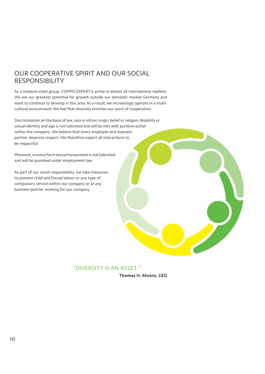# <span id="page-9-0"></span>OUR COOPERATIVE SPIRIT AND OUR SOCIAL RESPONSIBILITY

As a medium-sized group, COMPO EXPERTis active in almost all international markets. We see our greatest potential for growth outside our domestic market Germany and want to continue to develop in this area. As a result, we increasingly operate in a multicultural environment.We feel that diversity enriches our spirit of cooperation.

Discrimination on the basis of sex, race or ethnic origin, belief or religion, disability or sexual identity and age is not tolerated and will be met with punitive action within the company. We believe that every employee and business partner deserves respect. We therefore expect all interactions to be respectful.

Moreover, in every form sexual harassment is not tolerated and will be punished under employment law.

As part of our social responsibility, we take measures to prevent child and forced labour or any type of compulsory service within our company or at any business partner working for our company.

"DIVERSITY IS AN ASSET."

**Thomas H. Ahrens, CEO**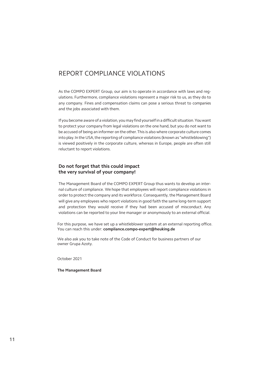#### <span id="page-10-0"></span>REPORT COMPLIANCE VIOLATIONS

As the COMPO EXPERT Group, our aim is to operate in accordance with laws and regulations. Furthermore, compliance violations represent a major risk to us, as they do to any company. Fines and compensation claims can pose a serious threat to companies and the jobs associated with them.

If you become aware of a violation,you may find yourselfin a difficult situation.Youwant to protect your company from legal violations on the one hand, but you do not want to be accused of being an informer on the other.This is also where corporate culture comes into play.In the USA, the reporting of compliance violations (known as "whistleblowing") is viewed positively in the corporate culture, whereas in Europe, people are often still reluctant to report violations.

#### **Do not forget that this could impact the very survival of your company!**

The Management Board of the COMPO EXPERT Group thus wants to develop an internal culture of compliance. We hope that employees will report compliance violations in order to protect the company and its workforce. Consequently, the Management Board will give any employees who report violations in good faith the same long-term support and protection they would receive if they had been accused of misconduct. Any violations can be reported to your line manager or anonymously to an external official.

For this purpose, we have set up a whistleblower system at an external reporting office. You can reach this under: **compliance.compo-expert@heuking.de**

We also ask you to take note of the Code of Conduct for business partners of our owner Grupa Azoty.

October 2021

**The Management Board**